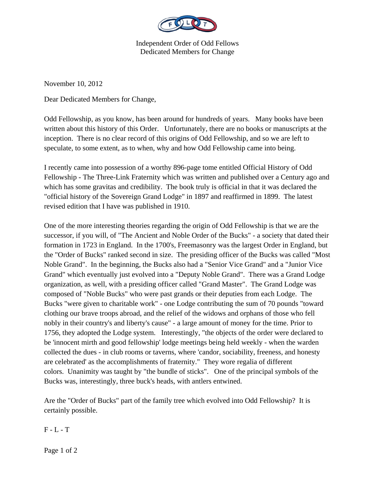

Independent Order of Odd Fellows Dedicated Members for Change

November 10, 2012

Dear Dedicated Members for Change,

Odd Fellowship, as you know, has been around for hundreds of years. Many books have been written about this history of this Order. Unfortunately, there are no books or manuscripts at the inception. There is no clear record of this origins of Odd Fellowship, and so we are left to speculate, to some extent, as to when, why and how Odd Fellowship came into being.

I recently came into possession of a worthy 896-page tome entitled Official History of Odd Fellowship - The Three-Link Fraternity which was written and published over a Century ago and which has some gravitas and credibility. The book truly is official in that it was declared the "official history of the Sovereign Grand Lodge" in 1897 and reaffirmed in 1899. The latest revised edition that I have was published in 1910.

One of the more interesting theories regarding the origin of Odd Fellowship is that we are the successor, if you will, of "The Ancient and Noble Order of the Bucks" - a society that dated their formation in 1723 in England. In the 1700's, Freemasonry was the largest Order in England, but the "Order of Bucks" ranked second in size. The presiding officer of the Bucks was called "Most Noble Grand". In the beginning, the Bucks also had a "Senior Vice Grand" and a "Junior Vice Grand" which eventually just evolved into a "Deputy Noble Grand". There was a Grand Lodge organization, as well, with a presiding officer called "Grand Master". The Grand Lodge was composed of "Noble Bucks" who were past grands or their deputies from each Lodge. The Bucks "were given to charitable work" - one Lodge contributing the sum of 70 pounds "toward clothing our brave troops abroad, and the relief of the widows and orphans of those who fell nobly in their country's and liberty's cause" - a large amount of money for the time. Prior to 1756, they adopted the Lodge system. Interestingly, "the objects of the order were declared to be 'innocent mirth and good fellowship' lodge meetings being held weekly - when the warden collected the dues - in club rooms or taverns, where 'candor, sociability, freeness, and honesty are celebrated' as the accomplishments of fraternity." They wore regalia of different colors. Unanimity was taught by "the bundle of sticks". One of the principal symbols of the Bucks was, interestingly, three buck's heads, with antlers entwined.

Are the "Order of Bucks" part of the family tree which evolved into Odd Fellowship? It is certainly possible.

 $F - L - T$